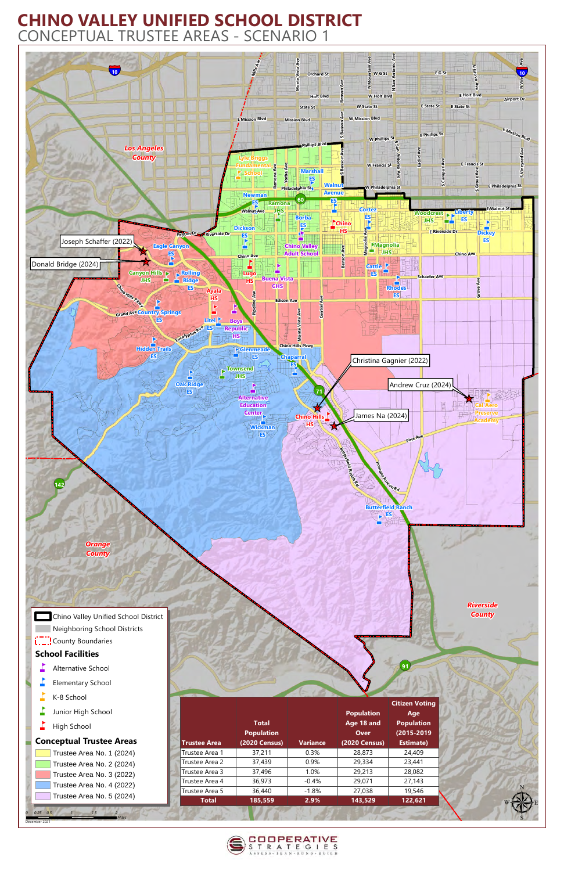

**L.\_.¦** County Boundaries **School Facilities**  $\blacksquare$  Alternative School  $\Gamma$  Elementary School  $K-8$  School

 $\blacksquare$  Junior High School

## **CHINO VALLEY UNIFIED SCHOOL DISTRICT** CONCEPTUAL TRUSTEE AREAS - SCENARIO 1

*0* December 2021

*0.25 0.5 1 1.5 2*

 $\overrightarrow{h}$  High School

## **Conceptual Trustee Areas**

Trustee Area No. 1 (2024) Trustee Area No. 2 (2024) Trustee Area No. 3 (2022) Trustee Area No. 4 (2022) Trustee Area No. 5 (2024)

|                     |                                   |                 |                                                | <b>Citizen Voting</b>                  |
|---------------------|-----------------------------------|-----------------|------------------------------------------------|----------------------------------------|
|                     | <b>Total</b><br><b>Population</b> |                 | <b>Population</b><br>Age 18 and<br><b>Over</b> | Age<br><b>Population</b><br>(2015-2019 |
| <b>Trustee Area</b> | <b>(2020 Census)</b>              | <b>Variance</b> | <b>(2020 Census)</b>                           | <b>Estimate)</b>                       |
| Trustee Area 1      | 37,211                            | 0.3%            | 28,873                                         | 24,409                                 |
| Trustee Area 2      | 37,439                            | 0.9%            | 29,334                                         | 23,441                                 |
| Trustee Area 3      | 37,496                            | 1.0%            | 29,213                                         | 28,082                                 |
| Trustee Area 4      | 36,973                            | $-0.4\%$        | 29,071                                         | 27,143                                 |
| Trustee Area 5      | 36,440                            | $-1.8%$         | 27,038                                         | 19,546                                 |
| <b>Total</b>        | 185,559                           | 2.9%            | 143,529                                        | 122,621                                |